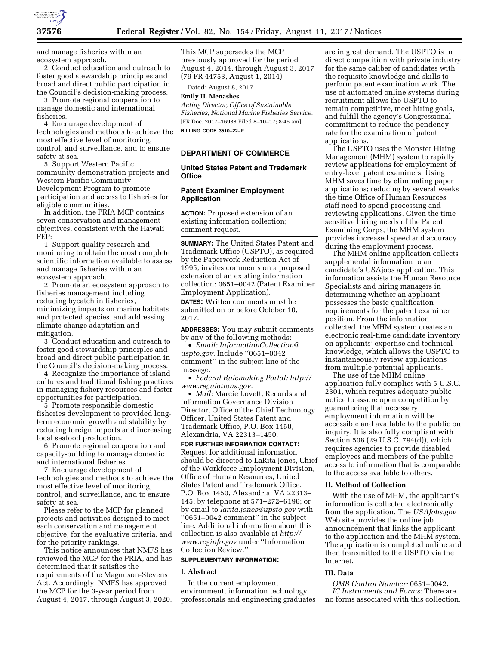

and manage fisheries within an ecosystem approach.

2. Conduct education and outreach to foster good stewardship principles and broad and direct public participation in the Council's decision-making process.

3. Promote regional cooperation to manage domestic and international fisheries.

4. Encourage development of technologies and methods to achieve the most effective level of monitoring, control, and surveillance, and to ensure safety at sea.

5. Support Western Pacific community demonstration projects and Western Pacific Community Development Program to promote participation and access to fisheries for eligible communities.

In addition, the PRIA MCP contains seven conservation and management objectives, consistent with the Hawaii FEP:

1. Support quality research and monitoring to obtain the most complete scientific information available to assess and manage fisheries within an ecosystem approach.

2. Promote an ecosystem approach to fisheries management including reducing bycatch in fisheries, minimizing impacts on marine habitats and protected species, and addressing climate change adaptation and mitigation.

3. Conduct education and outreach to foster good stewardship principles and broad and direct public participation in the Council's decision-making process.

4. Recognize the importance of island cultures and traditional fishing practices in managing fishery resources and foster opportunities for participation.

5. Promote responsible domestic fisheries development to provided longterm economic growth and stability by reducing foreign imports and increasing local seafood production.

6. Promote regional cooperation and capacity-building to manage domestic and international fisheries.

7. Encourage development of technologies and methods to achieve the most effective level of monitoring, control, and surveillance, and to ensure safety at sea.

Please refer to the MCP for planned projects and activities designed to meet each conservation and management objective, for the evaluative criteria, and for the priority rankings.

This notice announces that NMFS has reviewed the MCP for the PRIA, and has determined that it satisfies the requirements of the Magnuson-Stevens Act. Accordingly, NMFS has approved the MCP for the 3-year period from August 4, 2017, through August 3, 2020.

This MCP supersedes the MCP previously approved for the period August 4, 2014, through August 3, 2017 (79 FR 44753, August 1, 2014).

Dated: August 8, 2017.

#### **Emily H. Menashes,**

*Acting Director, Office of Sustainable Fisheries, National Marine Fisheries Service.*  [FR Doc. 2017–16988 Filed 8–10–17; 8:45 am] **BILLING CODE 3510–22–P** 

#### **DEPARTMENT OF COMMERCE**

# **United States Patent and Trademark Office**

## **Patent Examiner Employment Application**

**ACTION:** Proposed extension of an existing information collection; comment request.

**SUMMARY:** The United States Patent and Trademark Office (USPTO), as required by the Paperwork Reduction Act of 1995, invites comments on a proposed extension of an existing information collection: 0651–0042 (Patent Examiner Employment Application).

**DATES:** Written comments must be submitted on or before October 10, 2017.

**ADDRESSES:** You may submit comments by any of the following methods:

• *Email: [InformationCollection@](mailto:InformationCollection@uspto.gov) [uspto.gov.](mailto:InformationCollection@uspto.gov)* Include ''0651–0042 comment'' in the subject line of the message.

• *Federal Rulemaking Portal: [http://](http://www.regulations.gov) [www.regulations.gov.](http://www.regulations.gov)* 

• *Mail:* Marcie Lovett, Records and Information Governance Division Director, Office of the Chief Technology Officer, United States Patent and Trademark Office, P.O. Box 1450, Alexandria, VA 22313–1450.

**FOR FURTHER INFORMATION CONTACT:**  Request for additional information should be directed to LaRita Jones, Chief of the Workforce Employment Division, Office of Human Resources, United States Patent and Trademark Office, P.O. Box 1450, Alexandria, VA 22313– 145; by telephone at 571–272–6196; or by email to *[larita.jones@upsto.gov](mailto:larita.jones@upsto.gov)* with ''0651–0042 comment'' in the subject line. Additional information about this collection is also available at *[http://](http://www.reginfo.gov) [www.reginfo.gov](http://www.reginfo.gov)* under ''Information Collection Review.''

# **SUPPLEMENTARY INFORMATION:**

#### **I. Abstract**

In the current employment environment, information technology professionals and engineering graduates

are in great demand. The USPTO is in direct competition with private industry for the same caliber of candidates with the requisite knowledge and skills to perform patent examination work. The use of automated online systems during recruitment allows the USPTO to remain competitive, meet hiring goals, and fulfill the agency's Congressional commitment to reduce the pendency rate for the examination of patent applications.

The USPTO uses the Monster Hiring Management (MHM) system to rapidly review applications for employment of entry-level patent examiners. Using MHM saves time by eliminating paper applications; reducing by several weeks the time Office of Human Resources staff need to spend processing and reviewing applications. Given the time sensitive hiring needs of the Patent Examining Corps, the MHM system provides increased speed and accuracy during the employment process.

The MHM online application collects supplemental information to an candidate's USAjobs application. This information assists the Human Resource Specialists and hiring managers in determining whether an applicant possesses the basic qualification requirements for the patent examiner position. From the information collected, the MHM system creates an electronic real-time candidate inventory on applicants' expertise and technical knowledge, which allows the USPTO to instantaneously review applications from multiple potential applicants.

The use of the MHM online application fully complies with 5 U.S.C. 2301, which requires adequate public notice to assure open competition by guaranteeing that necessary employment information will be accessible and available to the public on inquiry. It is also fully compliant with Section 508 (29 U.S.C. 794(d)), which requires agencies to provide disabled employees and members of the public access to information that is comparable to the access available to others.

# **II. Method of Collection**

With the use of MHM, the applicant's information is collected electronically from the application. The *USAJobs.gov*  Web site provides the online job announcement that links the applicant to the application and the MHM system. The application is completed online and then transmitted to the USPTO via the Internet.

#### **III. Data**

*OMB Control Number:* 0651–0042. *IC Instruments and Forms:* There are no forms associated with this collection.